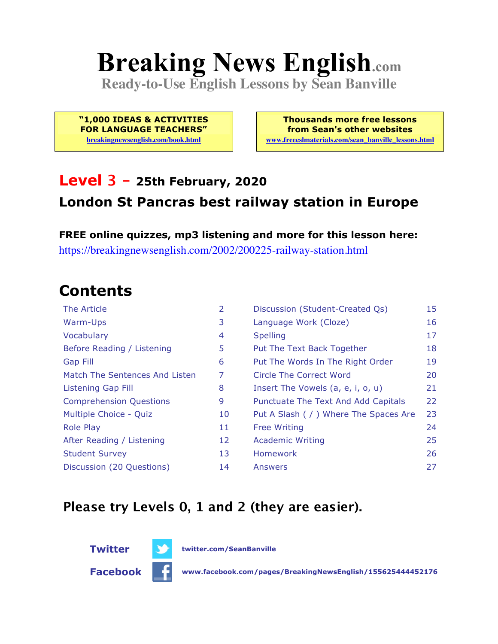# **Breaking News English.com**

**Ready-to-Use English Lessons by Sean Banville**

**"1,000 IDEAS & ACTIVITIES FOR LANGUAGE TEACHERS"**

**breakingnewsenglish.com/book.html**

**Thousands more free lessons from Sean's other websites www.freeeslmaterials.com/sean\_banville\_lessons.html**

#### **Level 3 - 25th February, 2020 London St Pancras best railway station in Europe**

**FREE online quizzes, mp3 listening and more for this lesson here:** https://breakingnewsenglish.com/2002/200225-railway-station.html

### **Contents**

| The Article                    | $\overline{2}$ | Discussion (Student-Created Qs)        | 15 |
|--------------------------------|----------------|----------------------------------------|----|
| Warm-Ups                       | 3              | Language Work (Cloze)                  | 16 |
| Vocabulary                     | 4              | <b>Spelling</b>                        | 17 |
| Before Reading / Listening     | 5              | Put The Text Back Together             | 18 |
| Gap Fill                       | 6              | Put The Words In The Right Order       | 19 |
| Match The Sentences And Listen | 7              | Circle The Correct Word                | 20 |
| Listening Gap Fill             | 8              | Insert The Vowels (a, e, i, o, u)      | 21 |
| <b>Comprehension Questions</b> | 9              | Punctuate The Text And Add Capitals    | 22 |
| Multiple Choice - Quiz         | 10             | Put A Slash ( / ) Where The Spaces Are | 23 |
| <b>Role Play</b>               | 11             | <b>Free Writing</b>                    | 24 |
| After Reading / Listening      | 12             | <b>Academic Writing</b>                | 25 |
| <b>Student Survey</b>          | 13             | <b>Homework</b>                        | 26 |
| Discussion (20 Questions)      | 14             | Answers                                | 27 |

#### **Please try Levels 0, 1 and 2 (they are easier).**



**Facebook www.facebook.com/pages/BreakingNewsEnglish/155625444452176**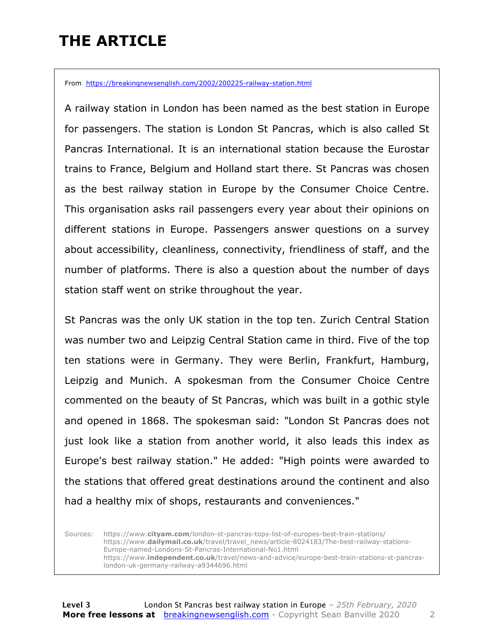### **THE ARTICLE**

From https://breakingnewsenglish.com/2002/200225-railway-station.html

A railway station in London has been named as the best station in Europe for passengers. The station is London St Pancras, which is also called St Pancras International. It is an international station because the Eurostar trains to France, Belgium and Holland start there. St Pancras was chosen as the best railway station in Europe by the Consumer Choice Centre. This organisation asks rail passengers every year about their opinions on different stations in Europe. Passengers answer questions on a survey about accessibility, cleanliness, connectivity, friendliness of staff, and the number of platforms. There is also a question about the number of days station staff went on strike throughout the year.

St Pancras was the only UK station in the top ten. Zurich Central Station was number two and Leipzig Central Station came in third. Five of the top ten stations were in Germany. They were Berlin, Frankfurt, Hamburg, Leipzig and Munich. A spokesman from the Consumer Choice Centre commented on the beauty of St Pancras, which was built in a gothic style and opened in 1868. The spokesman said: "London St Pancras does not just look like a station from another world, it also leads this index as Europe's best railway station." He added: "High points were awarded to the stations that offered great destinations around the continent and also had a healthy mix of shops, restaurants and conveniences."

Sources: https://www.**cityam.com**/london-st-pancras-tops-list-of-europes-best-train-stations/ https://www.**dailymail.co.uk**/travel/travel\_news/article-8024183/The-best-railway-stations-Europe-named-Londons-St-Pancras-International-No1.html https://www.**independent.co.uk**/travel/news-and-advice/europe-best-train-stations-st-pancraslondon-uk-germany-railway-a9344696.html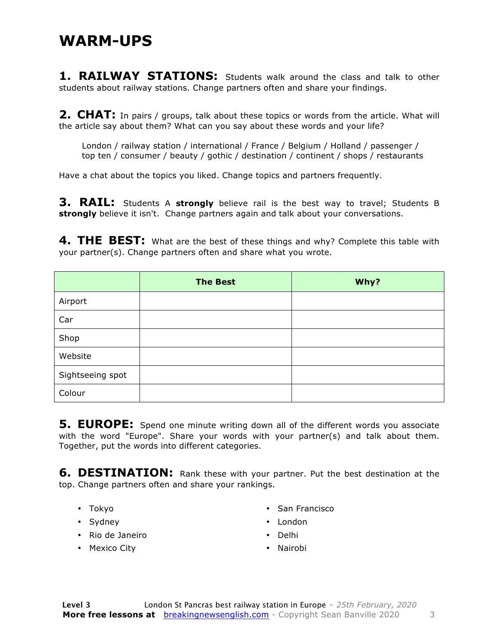**1. RAILWAY STATIONS:** Students walk around the class and talk to other students about railway stations. Change partners often and share your findings.

**2. CHAT:** In pairs / groups, talk about these topics or words from the article. What will the article say about them? What can you say about these words and your life?

London / railway station / international / France / Belgium / Holland / passenger / top ten / consumer / beauty / gothic / destination / continent / shops / restaurants

Have a chat about the topics you liked. Change topics and partners frequently.

**3. RAIL:** Students A **strongly** believe rail is the best way to travel; Students B **strongly** believe it isn't. Change partners again and talk about your conversations.

**4. THE BEST:** What are the best of these things and why? Complete this table with your partner(s). Change partners often and share what you wrote.

|                  | <b>The Best</b> | Why? |
|------------------|-----------------|------|
| Airport          |                 |      |
| Car              |                 |      |
| Shop             |                 |      |
| Website          |                 |      |
| Sightseeing spot |                 |      |
| Colour           |                 |      |

**5. EUROPE:** Spend one minute writing down all of the different words you associate with the word "Europe". Share your words with your partner(s) and talk about them. Together, put the words into different categories.

**6. DESTINATION:** Rank these with your partner. Put the best destination at the top. Change partners often and share your rankings.

- Tokyo
- Sydney
- Rio de Janeiro
- Mexico City
- San Francisco
- London
- Delhi
- Nairobi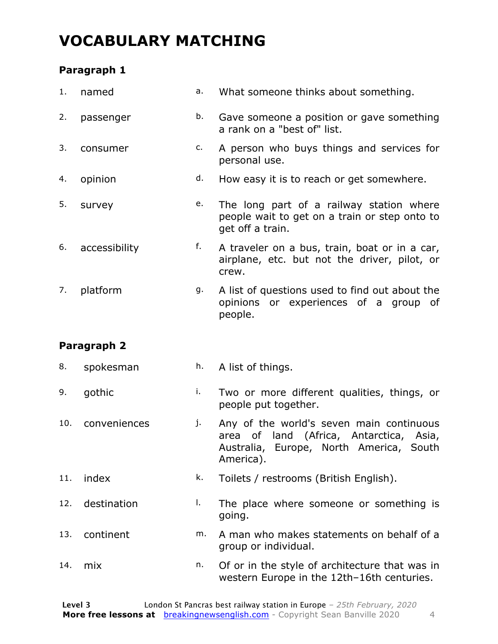### **VOCABULARY MATCHING**

#### **Paragraph 1**

| 1. | named         | a. | What someone thinks about something.                                                                          |
|----|---------------|----|---------------------------------------------------------------------------------------------------------------|
| 2. | passenger     | b. | Gave someone a position or gave something<br>a rank on a "best of" list.                                      |
| 3. | consumer      | c. | A person who buys things and services for<br>personal use.                                                    |
| 4. | opinion       | d. | How easy it is to reach or get somewhere.                                                                     |
| 5. | survey        | e. | The long part of a railway station where<br>people wait to get on a train or step onto to<br>get off a train. |
| 6. | accessibility | f. | A traveler on a bus, train, boat or in a car,<br>airplane, etc. but not the driver, pilot, or<br>crew.        |
| 7. | platform      | g. | A list of questions used to find out about the<br>opinions or experiences of a group of<br>people.            |
|    |               |    |                                                                                                               |

#### **Paragraph 2**

| 8.  | spokesman    | h. | A list of things.                                                                                                                           |  |
|-----|--------------|----|---------------------------------------------------------------------------------------------------------------------------------------------|--|
| 9.  | gothic       | i. | Two or more different qualities, things, or<br>people put together.                                                                         |  |
| 10. | conveniences | j. | Any of the world's seven main continuous<br>area of land (Africa, Antarctica, Asia,<br>Australia, Europe, North America, South<br>America). |  |
| 11. | index        | k. | Toilets / restrooms (British English).                                                                                                      |  |
| 12. | destination  | L. | The place where someone or something is<br>going.                                                                                           |  |
| 13. | continent    | m. | A man who makes statements on behalf of a<br>group or individual.                                                                           |  |
| 14. | mix          | n. | Of or in the style of architecture that was in<br>western Europe in the 12th-16th centuries.                                                |  |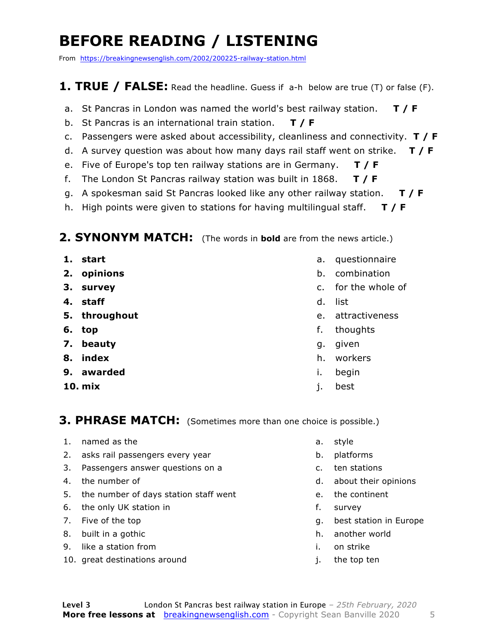### **BEFORE READING / LISTENING**

From https://breakingnewsenglish.com/2002/200225-railway-station.html

#### **1. TRUE / FALSE:** Read the headline. Guess if a-h below are true (T) or false (F).

- a. St Pancras in London was named the world's best railway station. **T / F**
- b. St Pancras is an international train station. **T / F**
- c. Passengers were asked about accessibility, cleanliness and connectivity. **T / F**
- d. A survey question was about how many days rail staff went on strike. **T / F**
- e. Five of Europe's top ten railway stations are in Germany. **T / F**
- f. The London St Pancras railway station was built in 1868. **T / F**
- g. A spokesman said St Pancras looked like any other railway station. **T / F**
- h. High points were given to stations for having multilingual staff. **T / F**

#### **2. SYNONYM MATCH:** (The words in **bold** are from the news article.)

- **1. start**
- **2. opinions**
- **3. survey**
- **4. staff**
- **5. throughout**
- **6. top**
- **7. beauty**
- **8. index**
- **9. awarded**
- **10. mix**
- a. questionnaire
- b. combination
- c. for the whole of
- d. list
- e. attractiveness
- f. thoughts
- g. given
- h. workers
- i. begin
- j. best

#### **3. PHRASE MATCH:** (Sometimes more than one choice is possible.)

- 1. named as the
- 2. asks rail passengers every year
- 3. Passengers answer questions on a
- 4. the number of
- 5. the number of days station staff went
- 6. the only UK station in
- 7. Five of the top
- 8. built in a gothic
- 9. like a station from
- 10. great destinations around
- a. style
- b. platforms
- c. ten stations
- d. about their opinions
- e. the continent
- f. survey
- g. best station in Europe
- h. another world
- i. on strike
- j. the top ten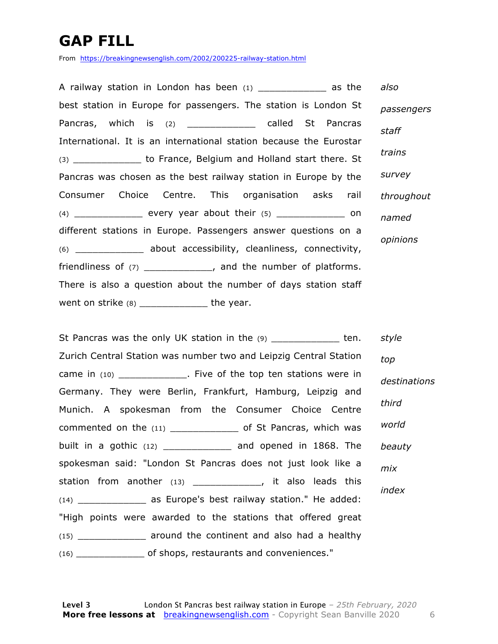### **GAP FILL**

From https://breakingnewsenglish.com/2002/200225-railway-station.html

A railway station in London has been  $(1)$  as the best station in Europe for passengers. The station is London St Pancras, which is (2) \_\_\_\_\_\_\_\_\_\_\_\_\_\_\_ called St Pancras International. It is an international station because the Eurostar (3) **be start to France, Belgium and Holland start there. St** Pancras was chosen as the best railway station in Europe by the Consumer Choice Centre. This organisation asks rail  $(4)$  \_\_\_\_\_\_\_\_\_\_\_\_\_\_\_\_ every year about their  $(5)$  \_\_\_\_\_\_\_\_\_\_\_\_\_\_\_ on different stations in Europe. Passengers answer questions on a (6) \_\_\_\_\_\_\_\_\_\_\_\_ about accessibility, cleanliness, connectivity, friendliness of (7) \_\_\_\_\_\_\_\_\_\_\_\_\_, and the number of platforms. There is also a question about the number of days station staff went on strike  $(8)$  \_\_\_\_\_\_\_\_\_\_\_\_\_\_\_\_ the year. *also passengers staff trains survey throughout named opinions*

St Pancras was the only UK station in the (9) \_\_\_\_\_\_\_\_\_\_\_\_\_\_ ten. Zurich Central Station was number two and Leipzig Central Station came in (10) \_\_\_\_\_\_\_\_\_\_\_\_\_. Five of the top ten stations were in Germany. They were Berlin, Frankfurt, Hamburg, Leipzig and Munich. A spokesman from the Consumer Choice Centre commented on the (11) \_\_\_\_\_\_\_\_\_\_\_\_\_\_ of St Pancras, which was built in a gothic (12) \_\_\_\_\_\_\_\_\_\_\_\_ and opened in 1868. The spokesman said: "London St Pancras does not just look like a station from another (13) \_\_\_\_\_\_\_\_\_\_\_\_\_\_, it also leads this (14) \_\_\_\_\_\_\_\_\_\_\_\_ as Europe's best railway station." He added: "High points were awarded to the stations that offered great (15) \_\_\_\_\_\_\_\_\_\_\_\_ around the continent and also had a healthy (16) \_\_\_\_\_\_\_\_\_\_\_\_ of shops, restaurants and conveniences." *style top destinations third world beauty mix index*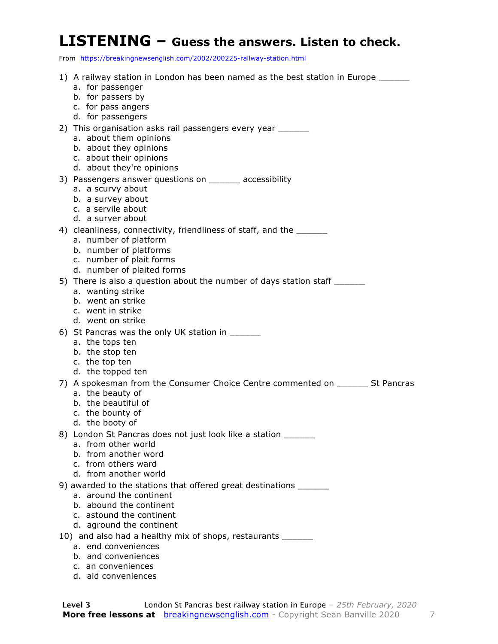#### **LISTENING – Guess the answers. Listen to check.**

From https://breakingnewsenglish.com/2002/200225-railway-station.html

- 1) A railway station in London has been named as the best station in Europe a. for passenger b. for passers by c. for pass angers d. for passengers 2) This organisation asks rail passengers every year \_\_\_\_\_ a. about them opinions b. about they opinions c. about their opinions d. about they're opinions 3) Passengers answer questions on \_\_\_\_\_\_ accessibility a. a scurvy about b. a survey about c. a servile about d. a surver about 4) cleanliness, connectivity, friendliness of staff, and the \_\_\_\_\_\_ a. number of platform b. number of platforms c. number of plait forms d. number of plaited forms 5) There is also a question about the number of days station staff \_\_\_\_\_\_\_ a. wanting strike b. went an strike c. went in strike d. went on strike 6) St Pancras was the only UK station in a. the tops ten b. the stop ten c. the top ten d. the topped ten 7) A spokesman from the Consumer Choice Centre commented on \_\_\_\_\_\_ St Pancras a. the beauty of b. the beautiful of c. the bounty of d. the booty of 8) London St Pancras does not just look like a station \_\_\_\_\_\_ a. from other world b. from another word c. from others ward d. from another world 9) awarded to the stations that offered great destinations \_\_\_\_\_\_\_ a. around the continent b. abound the continent c. astound the continent d. aground the continent 10) and also had a healthy mix of shops, restaurants \_\_\_\_\_\_\_ a. end conveniences
	- b. and conveniences
	- c. an conveniences
	- d. aid conveniences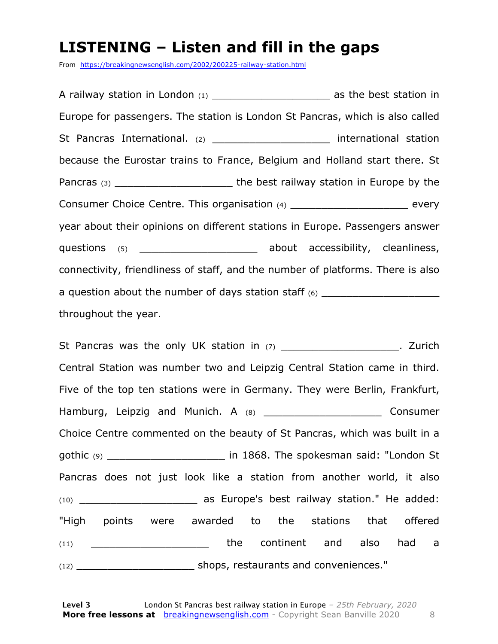#### **LISTENING – Listen and fill in the gaps**

From https://breakingnewsenglish.com/2002/200225-railway-station.html

A railway station in London (1) as the best station in Europe for passengers. The station is London St Pancras, which is also called St Pancras International. (2) and international station because the Eurostar trains to France, Belgium and Holland start there. St Pancras (3) \_\_\_\_\_\_\_\_\_\_\_\_\_\_\_\_\_\_\_ the best railway station in Europe by the Consumer Choice Centre. This organisation (4) every year about their opinions on different stations in Europe. Passengers answer questions (5)  $\qquad \qquad$  about accessibility, cleanliness, connectivity, friendliness of staff, and the number of platforms. There is also a question about the number of days station staff  $(6)$ throughout the year.

St Pancras was the only UK station in  $(7)$  and  $(7)$  and  $(7)$  and  $(8)$  and  $(7)$  and  $(8)$  and  $(9)$  and  $(10)$  and  $(20)$  and  $(30)$  and  $(7)$  and  $(8)$  and  $(9)$  and  $(10)$  and  $(10)$  and  $(10)$  and  $(10)$  and  $(10)$ Central Station was number two and Leipzig Central Station came in third. Five of the top ten stations were in Germany. They were Berlin, Frankfurt, Hamburg, Leipzig and Munich. A (8) The manufacturer consumer Choice Centre commented on the beauty of St Pancras, which was built in a gothic (9) **gothic** (9) **has a set of the spokesman said: "London St** Pancras does not just look like a station from another world, it also (10) \_\_\_\_\_\_\_\_\_\_\_\_\_\_\_\_\_\_\_ as Europe's best railway station." He added: "High points were awarded to the stations that offered (11) \_\_\_\_\_\_\_\_\_\_\_\_\_\_\_\_\_\_\_\_\_\_\_\_\_\_\_the continent and also had a (12) \_\_\_\_\_\_\_\_\_\_\_\_\_\_\_\_\_\_\_ shops, restaurants and conveniences."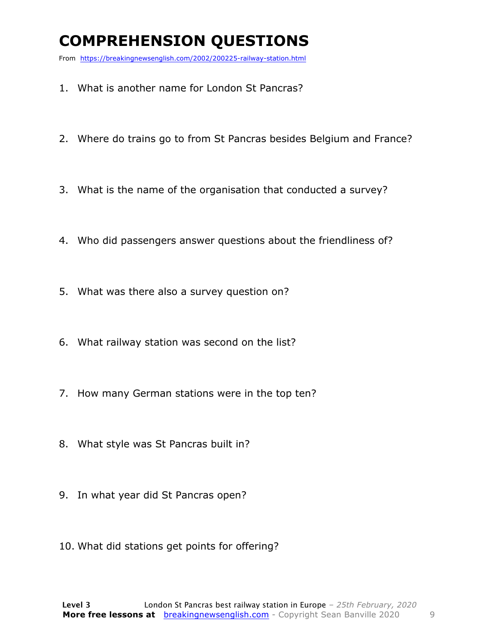### **COMPREHENSION QUESTIONS**

From https://breakingnewsenglish.com/2002/200225-railway-station.html

- 1. What is another name for London St Pancras?
- 2. Where do trains go to from St Pancras besides Belgium and France?
- 3. What is the name of the organisation that conducted a survey?
- 4. Who did passengers answer questions about the friendliness of?
- 5. What was there also a survey question on?
- 6. What railway station was second on the list?
- 7. How many German stations were in the top ten?
- 8. What style was St Pancras built in?
- 9. In what year did St Pancras open?
- 10. What did stations get points for offering?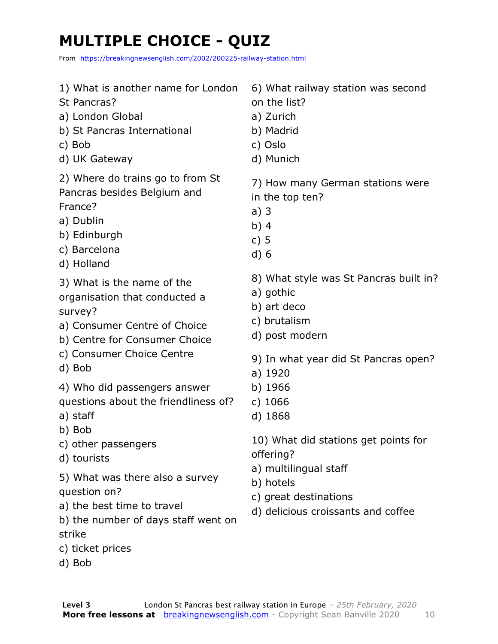### **MULTIPLE CHOICE - QUIZ**

From https://breakingnewsenglish.com/2002/200225-railway-station.html

| 1) What is another name for London<br>St Pancras?<br>a) London Global<br>b) St Pancras International<br>c) Bob<br>d) UK Gateway                    | 6) What railway station was second<br>on the list?<br>a) Zurich<br>b) Madrid<br>c) Oslo<br>d) Munich |
|----------------------------------------------------------------------------------------------------------------------------------------------------|------------------------------------------------------------------------------------------------------|
| 2) Where do trains go to from St<br>Pancras besides Belgium and<br>France?<br>a) Dublin<br>b) Edinburgh<br>c) Barcelona<br>d) Holland              | 7) How many German stations were<br>in the top ten?<br>a)3<br>b) $4$<br>c) $5$<br>d)6                |
| 3) What is the name of the<br>organisation that conducted a<br>survey?<br>a) Consumer Centre of Choice<br>b) Centre for Consumer Choice            | 8) What style was St Pancras built in?<br>a) gothic<br>b) art deco<br>c) brutalism<br>d) post modern |
| c) Consumer Choice Centre<br>d) Bob                                                                                                                | 9) In what year did St Pancras open?<br>a) 1920                                                      |
| 4) Who did passengers answer<br>questions about the friendliness of?<br>a) staff                                                                   | b) 1966<br>c) $1066$<br>d) 1868                                                                      |
| b) Bob<br>c) other passengers<br>d) tourists                                                                                                       | 10) What did stations get points for<br>offering?                                                    |
| 5) What was there also a survey<br>question on?<br>a) the best time to travel<br>b) the number of days staff went on<br>strike<br>c) ticket prices | a) multilingual staff<br>b) hotels<br>c) great destinations<br>d) delicious croissants and coffee    |
| d) Bob                                                                                                                                             |                                                                                                      |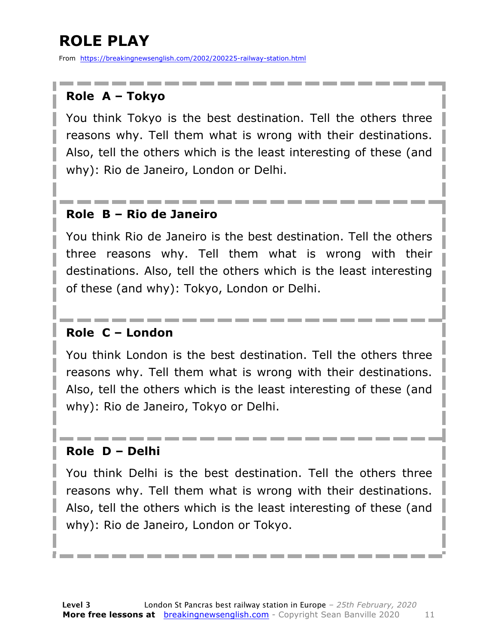### **ROLE PLAY**

From https://breakingnewsenglish.com/2002/200225-railway-station.html

#### **Role A – Tokyo**

You think Tokyo is the best destination. Tell the others three reasons why. Tell them what is wrong with their destinations. Also, tell the others which is the least interesting of these (and why): Rio de Janeiro, London or Delhi.

#### **Role B – Rio de Janeiro**

You think Rio de Janeiro is the best destination. Tell the others three reasons why. Tell them what is wrong with their destinations. Also, tell the others which is the least interesting of these (and why): Tokyo, London or Delhi.

#### **Role C – London**

You think London is the best destination. Tell the others three reasons why. Tell them what is wrong with their destinations. Also, tell the others which is the least interesting of these (and why): Rio de Janeiro, Tokyo or Delhi.

#### **Role D – Delhi**

You think Delhi is the best destination. Tell the others three reasons why. Tell them what is wrong with their destinations. Also, tell the others which is the least interesting of these (and why): Rio de Janeiro, London or Tokyo.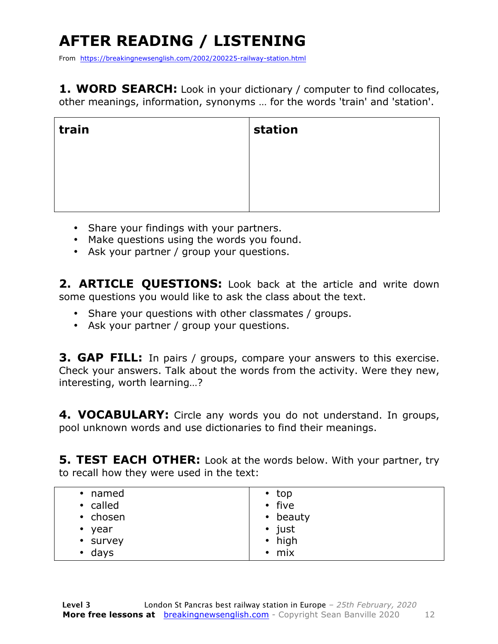## **AFTER READING / LISTENING**

From https://breakingnewsenglish.com/2002/200225-railway-station.html

**1. WORD SEARCH:** Look in your dictionary / computer to find collocates, other meanings, information, synonyms … for the words 'train' and 'station'.

| train | station |
|-------|---------|
|       |         |
|       |         |
|       |         |

- Share your findings with your partners.
- Make questions using the words you found.
- Ask your partner / group your questions.

2. **ARTICLE OUESTIONS:** Look back at the article and write down some questions you would like to ask the class about the text.

- Share your questions with other classmates / groups.
- Ask your partner / group your questions.

**3. GAP FILL:** In pairs / groups, compare your answers to this exercise. Check your answers. Talk about the words from the activity. Were they new, interesting, worth learning…?

**4. VOCABULARY:** Circle any words you do not understand. In groups, pool unknown words and use dictionaries to find their meanings.

**5. TEST EACH OTHER:** Look at the words below. With your partner, try to recall how they were used in the text:

| • named           | $\cdot$ top    |
|-------------------|----------------|
| • called          | • five         |
| • chosen          | • beauty       |
| year<br>$\bullet$ | $\bullet$ just |
| • survey          | • high         |
| days<br>٠         | mix<br>٠       |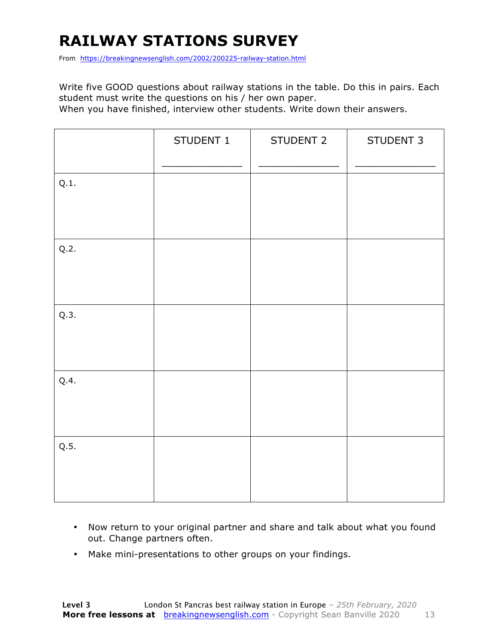### **RAILWAY STATIONS SURVEY**

From https://breakingnewsenglish.com/2002/200225-railway-station.html

Write five GOOD questions about railway stations in the table. Do this in pairs. Each student must write the questions on his / her own paper.

When you have finished, interview other students. Write down their answers.

|      | STUDENT 1 | STUDENT 2 | STUDENT 3 |
|------|-----------|-----------|-----------|
| Q.1. |           |           |           |
| Q.2. |           |           |           |
| Q.3. |           |           |           |
| Q.4. |           |           |           |
| Q.5. |           |           |           |

- Now return to your original partner and share and talk about what you found out. Change partners often.
- Make mini-presentations to other groups on your findings.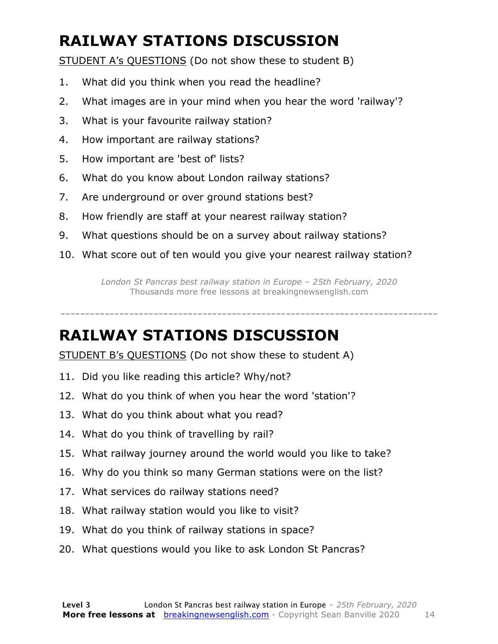### **RAILWAY STATIONS DISCUSSION**

STUDENT A's QUESTIONS (Do not show these to student B)

- 1. What did you think when you read the headline?
- 2. What images are in your mind when you hear the word 'railway'?
- 3. What is your favourite railway station?
- 4. How important are railway stations?
- 5. How important are 'best of' lists?
- 6. What do you know about London railway stations?
- 7. Are underground or over ground stations best?
- 8. How friendly are staff at your nearest railway station?
- 9. What questions should be on a survey about railway stations?
- 10. What score out of ten would you give your nearest railway station?

*London St Pancras best railway station in Europe – 25th February, 2020* Thousands more free lessons at breakingnewsenglish.com

-----------------------------------------------------------------------------

#### **RAILWAY STATIONS DISCUSSION**

STUDENT B's QUESTIONS (Do not show these to student A)

- 11. Did you like reading this article? Why/not?
- 12. What do you think of when you hear the word 'station'?
- 13. What do you think about what you read?
- 14. What do you think of travelling by rail?
- 15. What railway journey around the world would you like to take?
- 16. Why do you think so many German stations were on the list?
- 17. What services do railway stations need?
- 18. What railway station would you like to visit?
- 19. What do you think of railway stations in space?
- 20. What questions would you like to ask London St Pancras?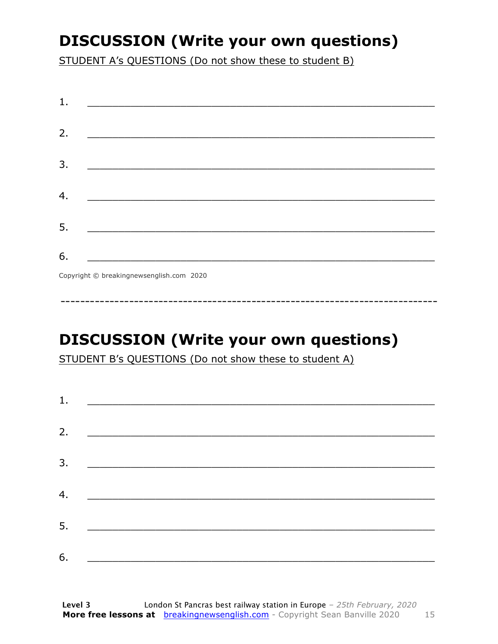### **DISCUSSION (Write your own questions)**

STUDENT A's QUESTIONS (Do not show these to student B)

| 1. |                                                                                                                      |
|----|----------------------------------------------------------------------------------------------------------------------|
| 2. | <u> 1989 - Johann Barbara, martin da basar da shekarar 1989 - An tsara a shekara 1989 - An tsara 1989 - An tsara</u> |
|    |                                                                                                                      |
| 3. |                                                                                                                      |
| 4. |                                                                                                                      |
| 5. | <u> 1989 - Johann John Stone, mars eta biztanleria (</u>                                                             |
| 6. |                                                                                                                      |
|    | Convright @ hreakingnewsenglish com 2020                                                                             |

Copyright © breakingnewsenglish.com 2020

### **DISCUSSION (Write your own questions)**

STUDENT B's QUESTIONS (Do not show these to student A)

| 1. |                                                                                                                         |  |  |
|----|-------------------------------------------------------------------------------------------------------------------------|--|--|
|    |                                                                                                                         |  |  |
| 2. | <u> 1980 - Andrea Stationer, fransk politiker (d. 1980)</u>                                                             |  |  |
| 3. |                                                                                                                         |  |  |
|    |                                                                                                                         |  |  |
| 4. | <u> 1980 - Jan Samuel Barbara, margaret eta idazlea (h. 1980).</u>                                                      |  |  |
| 5. | <u> 1986 - Johann Stoff, deutscher Stoffen und der Stoffen und der Stoffen und der Stoffen und der Stoffen und der </u> |  |  |
|    |                                                                                                                         |  |  |
| 6. | <u> 1989 - Johann John Stone, market fan it ferskearre fan it ferskearre fan it ferskearre fan it ferskearre fan i</u>  |  |  |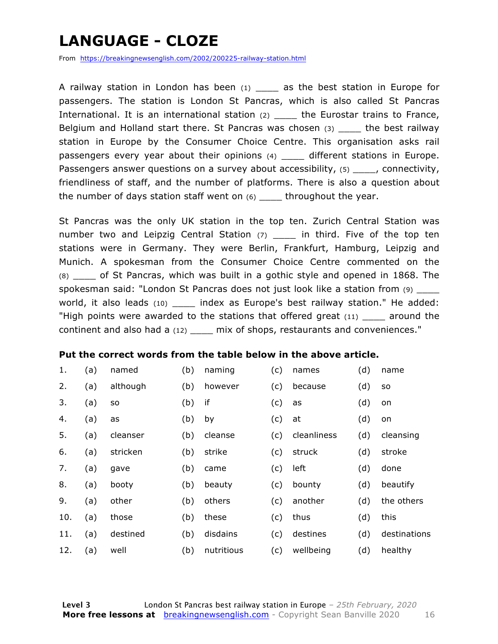### **LANGUAGE - CLOZE**

From https://breakingnewsenglish.com/2002/200225-railway-station.html

A railway station in London has been  $(1)$  as the best station in Europe for passengers. The station is London St Pancras, which is also called St Pancras International. It is an international station (2) \_\_\_\_\_ the Eurostar trains to France, Belgium and Holland start there. St Pancras was chosen  $(3)$  the best railway station in Europe by the Consumer Choice Centre. This organisation asks rail passengers every year about their opinions (4) \_\_\_\_ different stations in Europe. Passengers answer questions on a survey about accessibility, (5) fracenctivity, friendliness of staff, and the number of platforms. There is also a question about the number of days station staff went on  $(6)$  \_\_\_\_ throughout the year.

St Pancras was the only UK station in the top ten. Zurich Central Station was number two and Leipzig Central Station  $(7)$  \_\_\_\_ in third. Five of the top ten stations were in Germany. They were Berlin, Frankfurt, Hamburg, Leipzig and Munich. A spokesman from the Consumer Choice Centre commented on the (8) \_\_\_\_ of St Pancras, which was built in a gothic style and opened in 1868. The spokesman said: "London St Pancras does not just look like a station from (9) \_\_\_\_ world, it also leads (10) \_\_\_\_\_ index as Europe's best railway station." He added: "High points were awarded to the stations that offered great  $(11)$  \_\_\_\_ around the continent and also had a (12) \_\_\_\_ mix of shops, restaurants and conveniences."

#### **Put the correct words from the table below in the above article.**

| 1.  | (a) | named     | (b) | naming     | (c) | names       | (d) | name         |
|-----|-----|-----------|-----|------------|-----|-------------|-----|--------------|
| 2.  | (a) | although  | (b) | however    | (c) | because     | (d) | <b>SO</b>    |
| 3.  | (a) | <b>SO</b> | (b) | if         | (c) | as          | (d) | on           |
| 4.  | (a) | as        | (b) | by         | (c) | at          | (d) | on           |
| 5.  | (a) | cleanser  | (b) | cleanse    | (c) | cleanliness | (d) | cleansing    |
| 6.  | (a) | stricken  | (b) | strike     | (c) | struck      | (d) | stroke       |
| 7.  | (a) | gave      | (b) | came       | (c) | left        | (d) | done         |
| 8.  | (a) | booty     | (b) | beauty     | (c) | bounty      | (d) | beautify     |
| 9.  | (a) | other     | (b) | others     | (c) | another     | (d) | the others   |
| 10. | (a) | those     | (b) | these      | (c) | thus        | (d) | this         |
| 11. | (a) | destined  | (b) | disdains   | (c) | destines    | (d) | destinations |
| 12. | (a) | well      | (b) | nutritious | (c) | wellbeing   | (d) | healthy      |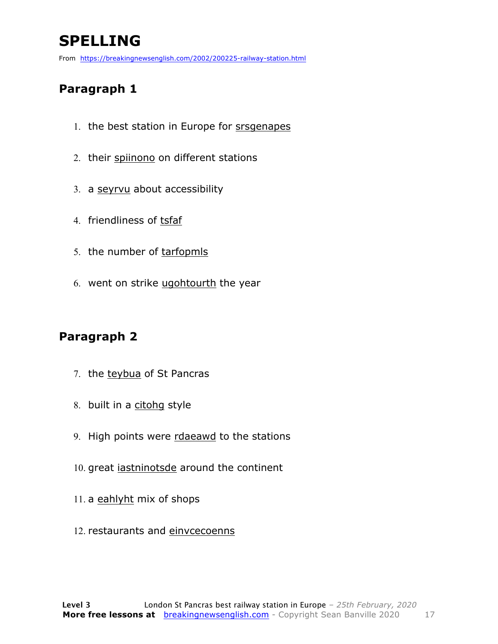### **SPELLING**

From https://breakingnewsenglish.com/2002/200225-railway-station.html

#### **Paragraph 1**

- 1. the best station in Europe for srsgenapes
- 2. their spiinono on different stations
- 3. a seyrvu about accessibility
- 4. friendliness of tsfaf
- 5. the number of tarfopmls
- 6. went on strike ugohtourth the year

#### **Paragraph 2**

- 7. the teybua of St Pancras
- 8. built in a citohg style
- 9. High points were rdaeawd to the stations
- 10. great *iastninotsde* around the continent
- 11. a eahlyht mix of shops
- 12. restaurants and einvcecoenns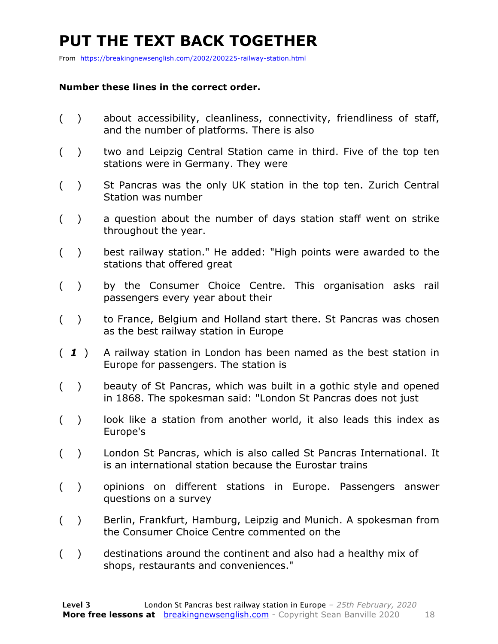### **PUT THE TEXT BACK TOGETHER**

From https://breakingnewsenglish.com/2002/200225-railway-station.html

#### **Number these lines in the correct order.**

- ( ) about accessibility, cleanliness, connectivity, friendliness of staff, and the number of platforms. There is also
- ( ) two and Leipzig Central Station came in third. Five of the top ten stations were in Germany. They were
- ( ) St Pancras was the only UK station in the top ten. Zurich Central Station was number
- ( ) a question about the number of days station staff went on strike throughout the year.
- ( ) best railway station." He added: "High points were awarded to the stations that offered great
- ( ) by the Consumer Choice Centre. This organisation asks rail passengers every year about their
- ( ) to France, Belgium and Holland start there. St Pancras was chosen as the best railway station in Europe
- ( *1* ) A railway station in London has been named as the best station in Europe for passengers. The station is
- ( ) beauty of St Pancras, which was built in a gothic style and opened in 1868. The spokesman said: "London St Pancras does not just
- () look like a station from another world, it also leads this index as Europe's
- ( ) London St Pancras, which is also called St Pancras International. It is an international station because the Eurostar trains
- ( ) opinions on different stations in Europe. Passengers answer questions on a survey
- ( ) Berlin, Frankfurt, Hamburg, Leipzig and Munich. A spokesman from the Consumer Choice Centre commented on the
- ( ) destinations around the continent and also had a healthy mix of shops, restaurants and conveniences."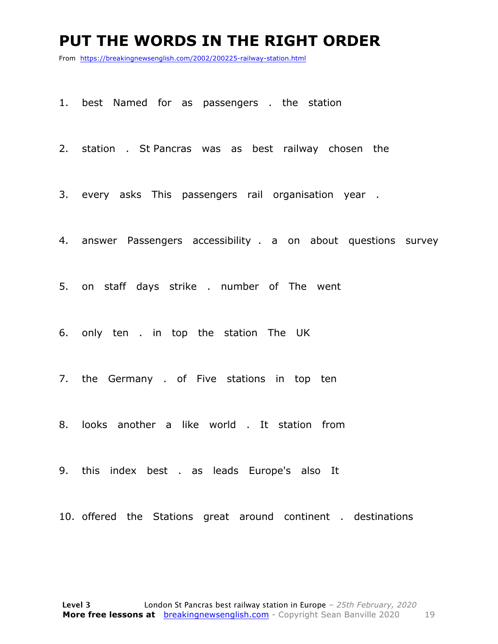#### **PUT THE WORDS IN THE RIGHT ORDER**

From https://breakingnewsenglish.com/2002/200225-railway-station.html

1. best Named for as passengers . the station

2. station . St Pancras was as best railway chosen the

3. every asks This passengers rail organisation year .

4. answer Passengers accessibility . a on about questions survey

5. on staff days strike . number of The went

6. only ten . in top the station The UK

7. the Germany . of Five stations in top ten

8. looks another a like world . It station from

9. this index best . as leads Europe's also It

10. offered the Stations great around continent . destinations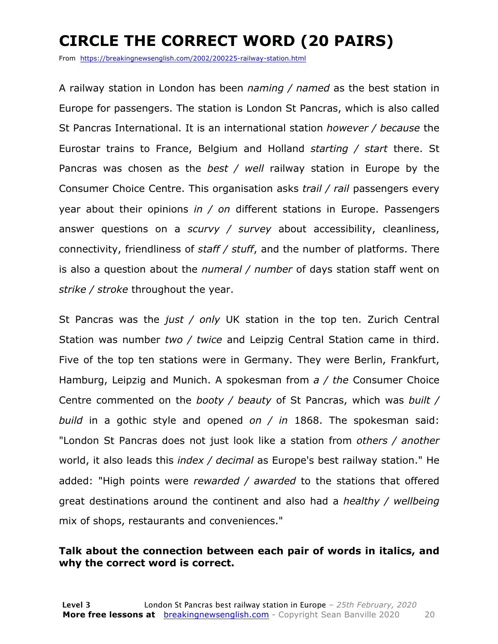### **CIRCLE THE CORRECT WORD (20 PAIRS)**

From https://breakingnewsenglish.com/2002/200225-railway-station.html

A railway station in London has been *naming / named* as the best station in Europe for passengers. The station is London St Pancras, which is also called St Pancras International. It is an international station *however / because* the Eurostar trains to France, Belgium and Holland *starting / start* there. St Pancras was chosen as the *best / well* railway station in Europe by the Consumer Choice Centre. This organisation asks *trail / rail* passengers every year about their opinions *in / on* different stations in Europe. Passengers answer questions on a *scurvy / survey* about accessibility, cleanliness, connectivity, friendliness of *staff / stuff*, and the number of platforms. There is also a question about the *numeral / number* of days station staff went on *strike / stroke* throughout the year.

St Pancras was the *just / only* UK station in the top ten. Zurich Central Station was number *two / twice* and Leipzig Central Station came in third. Five of the top ten stations were in Germany. They were Berlin, Frankfurt, Hamburg, Leipzig and Munich. A spokesman from *a / the* Consumer Choice Centre commented on the *booty / beauty* of St Pancras, which was *built / build* in a gothic style and opened *on / in* 1868. The spokesman said: "London St Pancras does not just look like a station from *others / another* world, it also leads this *index / decimal* as Europe's best railway station." He added: "High points were *rewarded / awarded* to the stations that offered great destinations around the continent and also had a *healthy / wellbeing* mix of shops, restaurants and conveniences."

#### **Talk about the connection between each pair of words in italics, and why the correct word is correct.**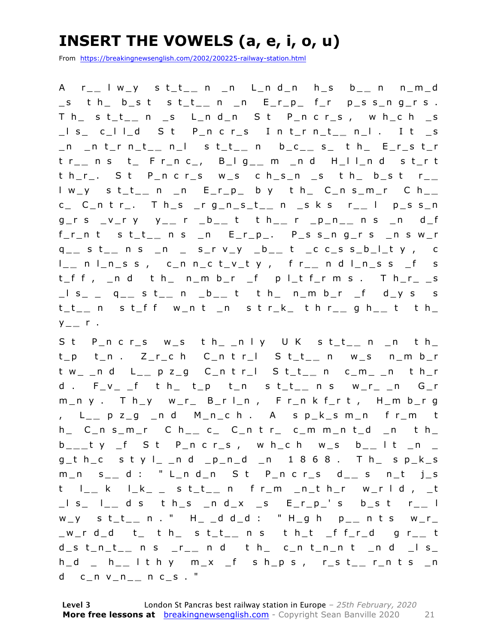### **INSERT THE VOWELS (a, e, i, o, u)**

From https://breakingnewsenglish.com/2002/200225-railway-station.html

A r\_ **\_** l w\_y s t\_t\_ **\_** n \_n L\_n d\_n h\_s b\_ **\_** n n\_m\_d \_s t h\_ b\_s t s t\_t\_ **\_** n \_n E\_r\_p\_ f\_r p\_s s\_n g\_r s . T h\_ s t\_t\_ **\_** n \_s L\_n d\_n S t P\_n c r\_s , w h\_c h \_s \_l s\_ c\_l l\_d S t P\_n c r\_s I n t\_r n\_t\_ **\_** n\_l . I t \_s \_n \_n t\_r n\_t\_ **\_** n\_l s t\_t\_ **\_** n b\_c\_ **\_** s\_ t h\_ E\_r\_s t\_r t r\_ **\_** n s t\_ F r\_n c\_, B\_l g\_ **\_** m \_n d H\_l l\_n d s t\_r t t h\_r\_. S t P\_n c r\_s w\_s c h\_s\_n \_s t h\_ b\_s t r\_ **\_**  l w\_y s t\_t\_ **\_** n \_n E\_r\_p\_ b y t h\_ C\_n s\_m\_r C h\_ **\_**  c\_ C\_n t r\_. T h\_s \_r g\_n\_s\_t\_ **\_** n \_s k s r\_ **\_** l p\_s s\_n g\_r s \_ v\_r y y\_ **\_** r \_b\_ **\_** t t h\_ **\_** r \_p\_n\_ **\_** n s \_n d\_f f\_r\_n t s t\_t\_ **\_** n s \_n E\_r\_p\_. P\_s s\_n g\_r s \_n s w\_r q \_ **\_** s t\_ **\_** n s \_n \_ s\_r v\_y \_b\_ **\_** t \_c c\_s s\_b\_l\_t y , c l \_ **\_** n l\_n\_s s , c\_n n\_c t\_v\_t y , f r\_ **\_** n d l\_n\_s s \_f s t\_f f , \_n d t h\_ n\_m b\_r \_f p l\_t f\_r m s . T h\_r\_ \_s \_l s\_ \_ q\_ **\_** s t\_ **\_** n \_b\_ **\_** t t h\_ n\_m b\_r \_f d\_y s s t\_t\_ **\_** n s t\_f f w\_n t \_n s t r\_k\_ t h r\_ **\_** g h\_ **\_** t t h\_  $y_{-}$   $r$  .

S t P\_n c r\_s w\_s t h\_ \_n l y U K s t\_t\_ **\_** n \_n t h\_ t \_p t\_n . Z\_r\_c h C\_n t r\_l S t\_t\_ **\_** n w\_s n\_m b\_r t w\_ \_n d L\_ **\_** p z\_g C\_n t r\_l S t\_t\_ **\_** n c\_m\_ \_n t h\_r d . F\_v\_ \_f t h\_ t\_p t\_n s t\_t\_ **\_** n s w\_r\_ \_n G\_r m\_n y . T h\_y w\_r\_ B\_r l\_n , F r\_n k f\_r t , H\_m b\_r g , L \_ **\_** p z\_g \_n d M\_n\_c h . A s p\_k\_s m\_n f r\_m t h\_ C\_n s\_m\_r C h\_ **\_** c\_ C\_n t r\_ c\_m m\_n t\_d \_n t h\_ b \_ **\_ \_** t y \_f S t P\_n c r\_s , w h\_c h w\_s b\_ **\_** l t \_n \_  $g_t$  h\_c styl\_ \_n d \_p\_n\_d \_n 1868. Th\_ sp\_k\_s m\_n s \_ **\_** d : " L\_n d\_n S t P\_n c r\_s d\_ **\_** s n\_t j\_s t l\_ **\_** k l\_k\_ \_ s t\_t\_ **\_** n f r\_m \_n\_t h\_r w\_r l d , \_t \_l s\_ l\_ **\_** d s t h\_s \_n d\_x \_s E\_r\_p\_' s b\_s t r\_ **\_** l w\_y s t\_t\_ **\_** n . " H\_ \_d d\_d : " H\_g h p\_ **\_** n t s w\_r\_ \_w\_r d\_d t\_ t h\_ s t\_t\_ **\_** n s t h\_t \_f f\_r\_d g r\_ **\_** t d\_s t\_n\_t\_ **\_** n s \_r\_ **\_** n d t h\_ c\_n t\_n\_n t \_n d \_l s\_ h\_d \_ h\_ **\_** l t h y m\_x \_f s h\_p s , r\_s t\_ **\_** r\_n t s \_n d c\_n v\_n\_ **\_** n c\_s . "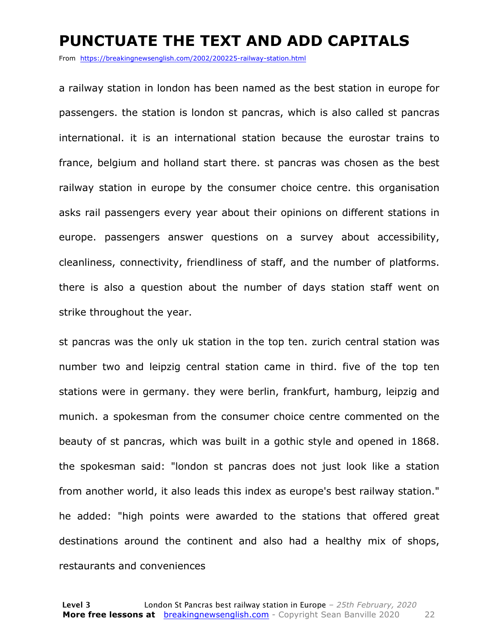#### **PUNCTUATE THE TEXT AND ADD CAPITALS**

From https://breakingnewsenglish.com/2002/200225-railway-station.html

a railway station in london has been named as the best station in europe for passengers. the station is london st pancras, which is also called st pancras international. it is an international station because the eurostar trains to france, belgium and holland start there. st pancras was chosen as the best railway station in europe by the consumer choice centre. this organisation asks rail passengers every year about their opinions on different stations in europe. passengers answer questions on a survey about accessibility, cleanliness, connectivity, friendliness of staff, and the number of platforms. there is also a question about the number of days station staff went on strike throughout the year.

st pancras was the only uk station in the top ten. zurich central station was number two and leipzig central station came in third. five of the top ten stations were in germany. they were berlin, frankfurt, hamburg, leipzig and munich. a spokesman from the consumer choice centre commented on the beauty of st pancras, which was built in a gothic style and opened in 1868. the spokesman said: "london st pancras does not just look like a station from another world, it also leads this index as europe's best railway station." he added: "high points were awarded to the stations that offered great destinations around the continent and also had a healthy mix of shops, restaurants and conveniences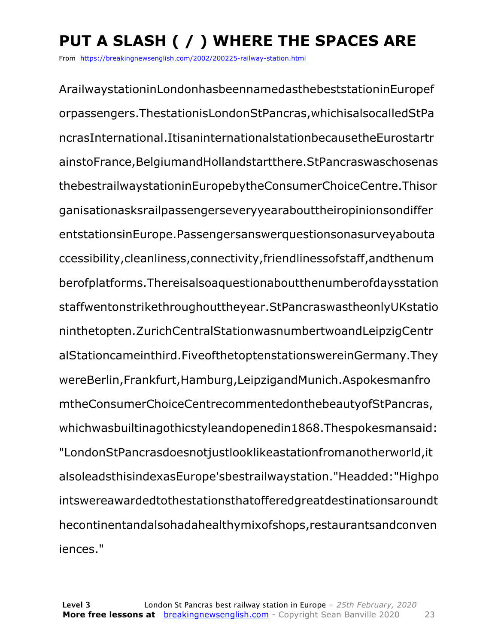### **PUT A SLASH ( / ) WHERE THE SPACES ARE**

From https://breakingnewsenglish.com/2002/200225-railway-station.html

ArailwaystationinLondonhasbeennamedasthebeststationinEuropef orpassengers.ThestationisLondonStPancras,whichisalsocalledStPa ncrasInternational.ItisaninternationalstationbecausetheEurostartr ainstoFrance,BelgiumandHollandstartthere.StPancraswaschosenas thebestrailwaystationinEuropebytheConsumerChoiceCentre.Thisor ganisationasksrailpassengerseveryyearabouttheiropinionsondiffer entstationsinEurope.Passengersanswerquestionsonasurveyabouta ccessibility,cleanliness,connectivity,friendlinessofstaff,andthenum berofplatforms.Thereisalsoaquestionaboutthenumberofdaysstation staffwentonstrikethroughouttheyear.StPancraswastheonlyUKstatio ninthetopten.ZurichCentralStationwasnumbertwoandLeipzigCentr alStationcameinthird.FiveofthetoptenstationswereinGermany.They wereBerlin,Frankfurt,Hamburg,LeipzigandMunich.Aspokesmanfro mtheConsumerChoiceCentrecommentedonthebeautyofStPancras, whichwasbuiltinagothicstyleandopenedin1868.Thespokesmansaid: "LondonStPancrasdoesnotjustlooklikeastationfromanotherworld,it alsoleadsthisindexasEurope'sbestrailwaystation."Headded:"Highpo intswereawardedtothestationsthatofferedgreatdestinationsaroundt hecontinentandalsohadahealthymixofshops,restaurantsandconven iences."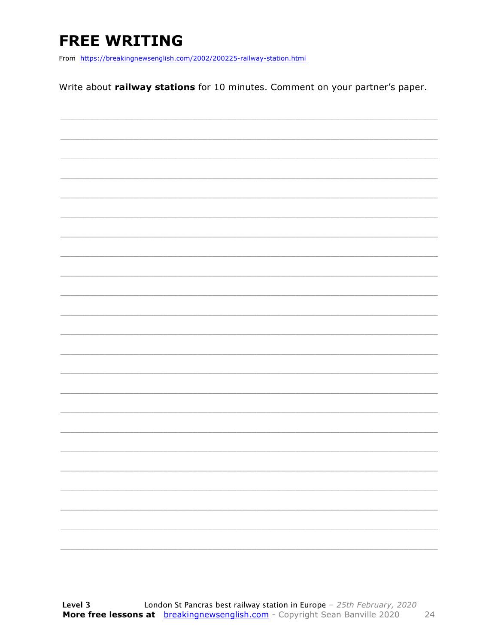### **FREE WRITING**

From https://breakingnewsenglish.com/2002/200225-railway-station.html

Write about railway stations for 10 minutes. Comment on your partner's paper.

|                          |  | _______                                                                                                                                                                                                                                                                                                                                                                                                                                                                              |
|--------------------------|--|--------------------------------------------------------------------------------------------------------------------------------------------------------------------------------------------------------------------------------------------------------------------------------------------------------------------------------------------------------------------------------------------------------------------------------------------------------------------------------------|
|                          |  |                                                                                                                                                                                                                                                                                                                                                                                                                                                                                      |
|                          |  | $\begin{tabular}{cccccc} \multicolumn{2}{c}{} & \multicolumn{2}{c}{} & \multicolumn{2}{c}{} & \multicolumn{2}{c}{} & \multicolumn{2}{c}{} & \multicolumn{2}{c}{} & \multicolumn{2}{c}{} & \multicolumn{2}{c}{} & \multicolumn{2}{c}{} & \multicolumn{2}{c}{} & \multicolumn{2}{c}{} & \multicolumn{2}{c}{} & \multicolumn{2}{c}{} & \multicolumn{2}{c}{} & \multicolumn{2}{c}{} & \multicolumn{2}{c}{} & \multicolumn{2}{c}{} & \multicolumn{2}{c}{} & \multicolumn{2}{c}{} & \mult$ |
|                          |  |                                                                                                                                                                                                                                                                                                                                                                                                                                                                                      |
| $\overline{\phantom{a}}$ |  | ________                                                                                                                                                                                                                                                                                                                                                                                                                                                                             |
|                          |  |                                                                                                                                                                                                                                                                                                                                                                                                                                                                                      |
|                          |  |                                                                                                                                                                                                                                                                                                                                                                                                                                                                                      |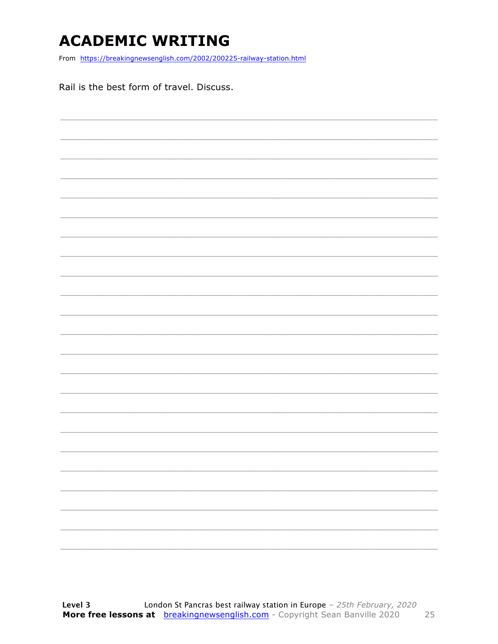### **ACADEMIC WRITING**

From https://breakingnewsenglish.com/2002/200225-railway-station.html

Rail is the best form of travel. Discuss.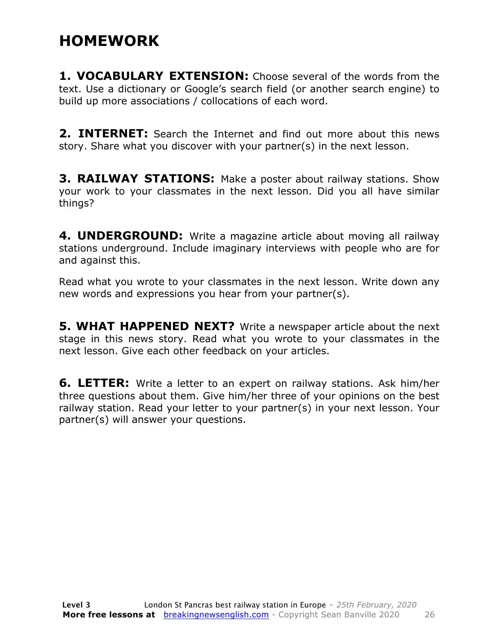#### **HOMEWORK**

**1. VOCABULARY EXTENSION:** Choose several of the words from the text. Use a dictionary or Google's search field (or another search engine) to build up more associations / collocations of each word.

**2. INTERNET:** Search the Internet and find out more about this news story. Share what you discover with your partner(s) in the next lesson.

**3. RAILWAY STATIONS:** Make a poster about railway stations. Show your work to your classmates in the next lesson. Did you all have similar things?

**4. UNDERGROUND:** Write a magazine article about moving all railway stations underground. Include imaginary interviews with people who are for and against this.

Read what you wrote to your classmates in the next lesson. Write down any new words and expressions you hear from your partner(s).

**5. WHAT HAPPENED NEXT?** Write a newspaper article about the next stage in this news story. Read what you wrote to your classmates in the next lesson. Give each other feedback on your articles.

**6. LETTER:** Write a letter to an expert on railway stations. Ask him/her three questions about them. Give him/her three of your opinions on the best railway station. Read your letter to your partner(s) in your next lesson. Your partner(s) will answer your questions.